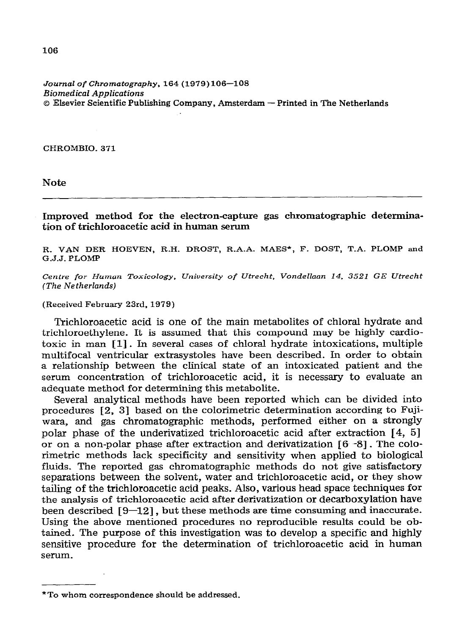*Journal of Chromatography, 164* **(1979)** *106-108 Biomedical Applications o* **Ekevier Scientific Publishing Company, Amsterdam - Printed in The Netherlands** 

**CHROMBIO. 371** 

**Note** 

**Improved method for the electron-capture gas chromatographic determination of trichloroacetic acid in human serum** 

**R. VAN DER HOEVEN, R.H. DROST, R.A.A. MAES\*, F. DOST, T.A. PLOMP and**  G.J.J. PLOMP

**Cenire** *for Human Toxicology, University of Utrecht. VondelIaan 14. 3521 GE Utrecht (The Nefherlands)* 

**(Received February 23rd, 1979)** 

**Trichloroacetic acid is one of the main metabolites of chloral hydrate and trichloroethylene. It is assumed that this compound may be highly cardiotoxic in man 111. In several cases of chloral hydrate intoxications, multiple multifocal ventricular extrasystoles have been described. In order to obtain a relationship between the clinical state of an intoxicated patient and the serum concentration of trichloroacetic acid, it is necessary to evaluate an adequate method for determining this metabolite.** 

**Several analytical methods have been reported which can be divided into procedures [Z, 31 based on the calorimetric determination according to Fujiwara, and gas chromatographic methods, performed either on a strongly polar phase of the underivatized trichloroacetic acid after extraction [4, 51 or on a non-polar phase after extraction and derivatization 16 -81. The colorimetric methods lack specificity and sensitivity when applied to biological fluids. The reported gas chromatographic methods do not give satisfactory separations between the solvent, water and trichloroacetic acid, or they show tailing of the trichloroacetic acid peaks. Also, various head space techniques for the analysis of tichloroacetic acid after derivatization or decarboxylation have been described [9-121, but these methods are time consuming and inaccurate. Using the above mentioned procedures no reproducible results could be obtained. The purpose of this investigation was to develop a specific and highly sensitive procedure for the determination of trichloroacetic acid in human serum.** 

**<sup>\*</sup>To whom correspondence should be addressed.**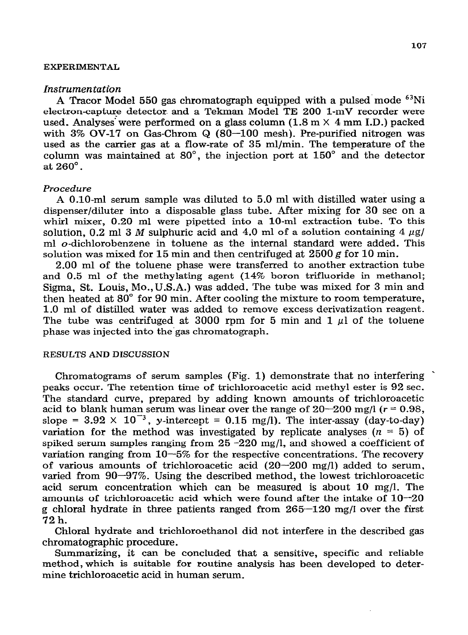## **EXPERIMENTAL**

#### *Instrumentation*

**A Tracor Model 550 gas chromatograph equipped with a pulsed mode 63Ni electron-capture detector. and a Tekman Model TE 200 1-mV recorder were used. Analyses"were performed on a glass column (1.8 m** *X* **4 mm I.D.) packed with 3% OV-17 on Gas-Chrom Q (SO-100 mesh)\_ Pre-purified nitrogen was used as the carrier gas at a flow-rate of 35 ml/min. The temperature of the column was maintained at SO", the injection port at 150" and the detector at 260".** 

## *Procedure*

**A O-10-ml serum sample was diluted to 5.0 ml with distilled water using a dispenser/diluter into a disposable glass tube. After mixing for 30 set on a whirl mixer, 0.20 ml were pipetted into a lo-ml extraction tube. To this**  solution, 0.2 ml 3 M sulphuric acid and 4.0 ml of a solution containing  $4 \mu$ g/ **ml o-dichlorobenzene in toluene as the internal standard were added. This**  solution was mixed for 15 min and then centrifuged at  $2500 \text{ g}$  for 10 min.

**2.00 ml of the toluene phase were transferred to another extraction tube and 0.5 ml of the methylating agent (14% boron trifluoride in methanol; Sigma, St. Louis, Mo.,U.S.A.) was added. The tube was mixed for 3 min and then heated at 80" for 90 min. After cooling the mixture to room temperature, 1.0 ml of distilled water was added to remove excess derivatization reagent.**  The tube was centrifuged at 3000 rpm for 5 min and  $1 \mu l$  of the toluene **phase was injected into the.gas chromatograph.** 

# **RESULTS AND DISCUSSION**

**Chromatograms of serum samples (Fig. 1) demonstrate that no interfering \* peaks occur. The retention time of trichloroacetic acid methyl ester is 92 sec. The standard curve, prepared by adding known amounts of trichloroacetic**  acid to blank human serum was linear over the range of  $20-200$  mg/l ( $r = 0.98$ , slope =  $3.92 \times 10^{-3}$ , y-intercept =  $0.15$  mg/l). The inter-assay (day-to-day) **variation for the method was investigated by replicate analyses (** $n = 5$ **) of spiked serum samples ranging from 25 -220 mg/l, and showed a coefficient of variation ranging from lo-5% for the respective concentrations. The recovery of various amounts of trichloroacetic acid (20-200 mg/l) added to serum, varied from 90-97%. Using the described method, the lowest trichloroacetic acid serum concentration which can be measured is about 10 mg/l. The amounts of trichloroacetic acid which were found after the intake of lo-20 g chloral hydrate in three patients ranged from 265-120 mg/J over the first 72 h.** 

**Chloral hydrate and trichloroethanol did not interfere in the described gas chromatographic procedure.** 

**Summarizing, it can be concluded that a sensitive, specific and reliable method, which is suitable for routine analysis has been developed to determine trichloroacetic acid in human serum.**